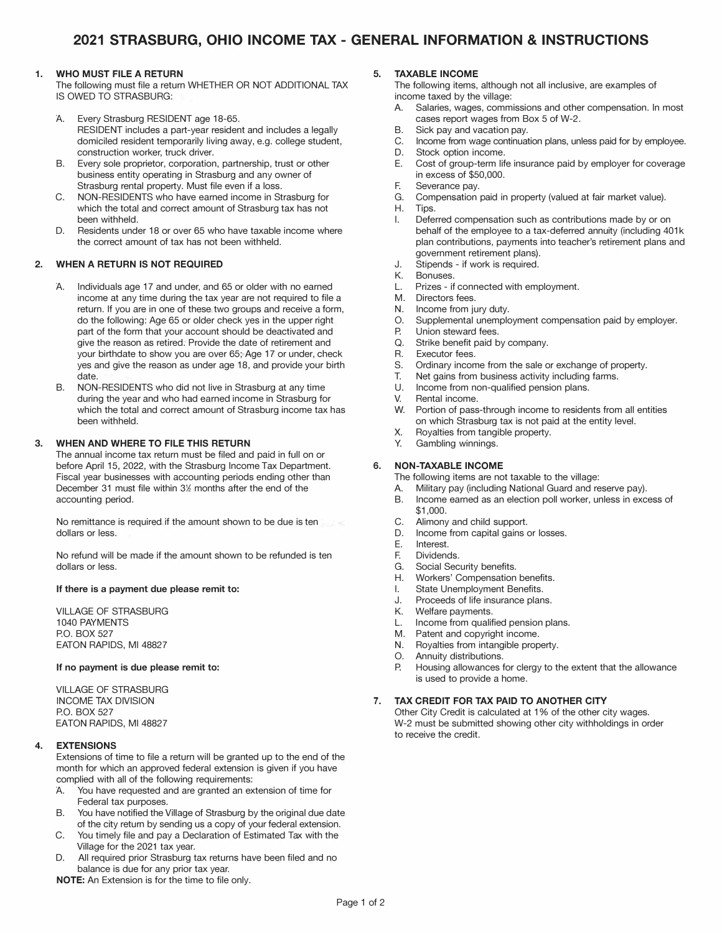#### **1. WHO MUST FILE A RETURN**

The following must file a return WHETHER OR NOT ADDITIONAL TAX IS OWED TO STRASBURG:

- A. Every Strasburg RESIDENT age 18-65. RESIDENT includes a part-year resident and includes a legally domiciled resident temporarily living away, e.g. college student, construction worker, truck driver.
- B. Every sole proprietor, corporation, partnership, trust or other business entity operating in Strasburg and any owner of Strasburg rental property. Must file even if a loss.
- C. NON-RESIDENTS who have earned income in Strasburg for which the total and correct amount of Strasburg tax has not been withheld.
- D. Residents under 18 or over 65 who have taxable income where the correct amount of tax has not been withheld.

## **2. WHEN A RETURN IS NOT REQUIRED**

- A. Individuals age 17 and under, and 65 or older with no earned income at any time during the tax year are not required to file a return. If you are in one of these two groups and receive a form, do the following: Age 65 or older check yes in the upper right part of the form that your account should be deactivated and give the reason as retired. Provide the date of retirement and your birthdate to show you are over 65; Age 17 or under, check yes and give the reason as under age 18, and provide your birth date.
- B. NON-RESIDENTS who did not live in Strasburg at any time during the year and who had earned income in Strasburg for which the total and correct amount of Strasburg income tax has been withheld.

#### **3. WHEN AND WHERE TO FILE THIS RETURN**

The annual income tax return must be filed and paid in full on or before April 15, 2022, with the Strasburg Income Tax Department. Fiscal year businesses with accounting periods ending other than December 31 must file within 3½ months after the end of the accounting period.

No remittance is required if the amount shown to be due is ten dollars or less.

No refund will be made if the amount shown to be refunded is ten dollars or less.

#### **If there is a payment due please remit to:**

VILLAGE OF STRASBURG 1040 PAYMENTS P.O. BOX 527 EATON RAPIDS, Ml 48827

#### **If no payment is due please remit to:**

VILLAGE OF STRASBURG INCOME TAX DIVISION P.O. BOX 527 EATON RAPIDS, Ml 48827

#### **4. EXTENSIONS**

Extensions of time to file a return will be granted up to the end of the month for which an approved federal extension is given if you have complied with all of the following requirements:

- A. You have requested and are granted an extension of time for Federal tax purposes.
- B. You have notified the Village of Strasburg by the original due date of the city return by sending us a copy of your federal extension.
- C. You timely file and pay a Declaration of Estimated Tax with the Village for the 2021 tax year.
- D. All required prior Strasburg tax returns have been filed and no balance is due for any prior tax year.

**NOTE:** An Extension is for the time to file only.

#### **5. TAXABLE INCOME**

The following items, although not all inclusive, are examples of income taxed by the village:

- A. Salaries, wages, commissions and other compensation. In most cases report wages from Box 5 of W-2.
- B. Sick pay and vacation pay.
- C. Income from wage continuation plans, unless paid for by employee.
- D. Stock option income.
- E. Cost of group-term life insurance paid by employer for coverage in excess of \$50,000.
- F. Severance pay.
- G. Compensation paid in property (valued at fair market value).
- H. Tips.
- I. Deferred compensation such as contributions made by or on behalf of the employee to a tax-deferred annuity (including 401k plan contributions, payments into teacher's retirement plans and government retirement plans).
- J. Stipends - if work is required.
- K.<br>I Bonuses.
- Prizes if connected with employment.
- M. Directors fees.
- N. Income from jury duty.
- 0. Supplemental unemployment compensation paid by employer.<br>P Union steward fees.
- P. Union steward fees.<br>O. Strike benefit paid b
- Q. Strike benefit paid by company.<br>R Executor fees
- R. Executor fees.
- S. Ordinary income from the sale or exchange of property.
- T. Net gains from business activity including farms.
- Income from non-qualified pension plans.
- V. Rental income.
- w. Portion of pass-through income to residents from all entities on which Strasburg tax is not paid at the entity level.
- X. Royalties from tangible property.
- Y. Gambling winnings.

#### **6. NON-TAXABLE INCOME**

- The following items are not taxable to the village:
- A. Military pay (including National Guard and reserve pay).
- B. Income earned as an election poll worker, unless in excess of \$1,000.
- C. Alimony and child support.
- D. Income from capital gains or losses.
- E. Interest.
- Dividends.
- G. Social Security benefits.
- H. Workers' Compensation benefits.
- I. State Unemployment Benefits.
- J. Proceeds of life insurance plans.<br>K. Welfare payments.
- K. Welfare payments.<br>Income from qualif
- L. Income from qualified pension plans.<br>M. Patent and copyright income.
- Patent and copyright income.
- N. Royalties from intangible property.
- O. Annuity distributions.<br>P. Housing allowances f
- Housing allowances for clergy to the extent that the allowance is used to provide a home.

#### **7. TAX CREDIT FOR TAX PAID TO ANOTHER CITY**

Other City Credit is calculated at 1 % of the other city wages. W-2 must be submitted showing other city withholdings in order to receive the credit.